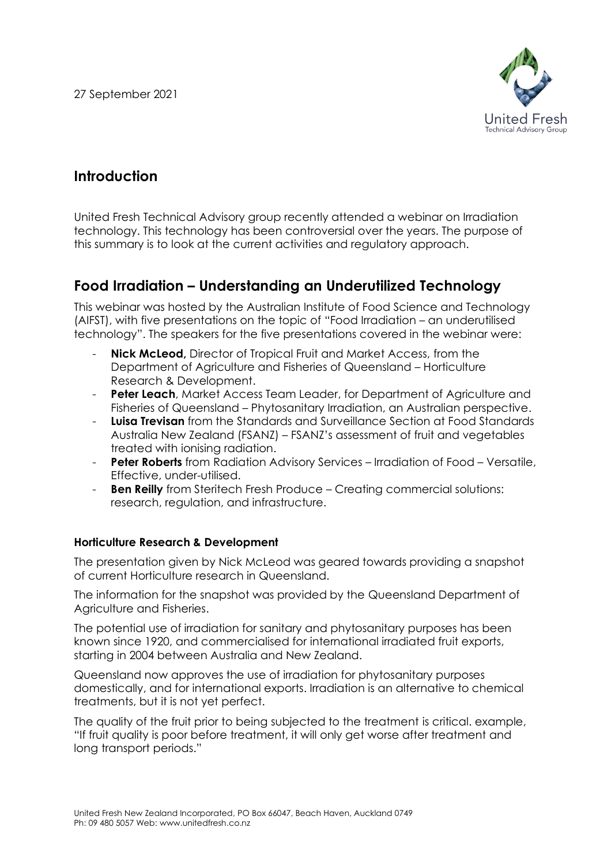27 September 2021



# **Introduction**

United Fresh Technical Advisory group recently attended a webinar on Irradiation technology. This technology has been controversial over the years. The purpose of this summary is to look at the current activities and regulatory approach.

# **Food Irradiation – Understanding an Underutilized Technology**

This webinar was hosted by the Australian Institute of Food Science and Technology (AIFST), with five presentations on the topic of "Food Irradiation – an underutilised technology". The speakers for the five presentations covered in the webinar were:

- **Nick McLeod,** Director of Tropical Fruit and Market Access, from the Department of Agriculture and Fisheries of Queensland – Horticulture Research & Development.
- **Peter Leach**, Market Access Team Leader, for Department of Agriculture and Fisheries of Queensland – Phytosanitary Irradiation, an Australian perspective.
- **Luisa Trevisan** from the Standards and Surveillance Section at Food Standards Australia New Zealand (FSANZ) – FSANZ's assessment of fruit and vegetables treated with ionising radiation.
- **Peter Roberts** from Radiation Advisory Services Irradiation of Food Versatile, Effective, under-utilised.
- **Ben Reilly** from Steritech Fresh Produce Creating commercial solutions: research, regulation, and infrastructure.

# **Horticulture Research & Development**

The presentation given by Nick McLeod was geared towards providing a snapshot of current Horticulture research in Queensland.

The information for the snapshot was provided by the Queensland Department of Agriculture and Fisheries.

The potential use of irradiation for sanitary and phytosanitary purposes has been known since 1920, and commercialised for international irradiated fruit exports, starting in 2004 between Australia and New Zealand.

Queensland now approves the use of irradiation for phytosanitary purposes domestically, and for international exports. Irradiation is an alternative to chemical treatments, but it is not yet perfect.

The quality of the fruit prior to being subjected to the treatment is critical. example, "If fruit quality is poor before treatment, it will only get worse after treatment and long transport periods."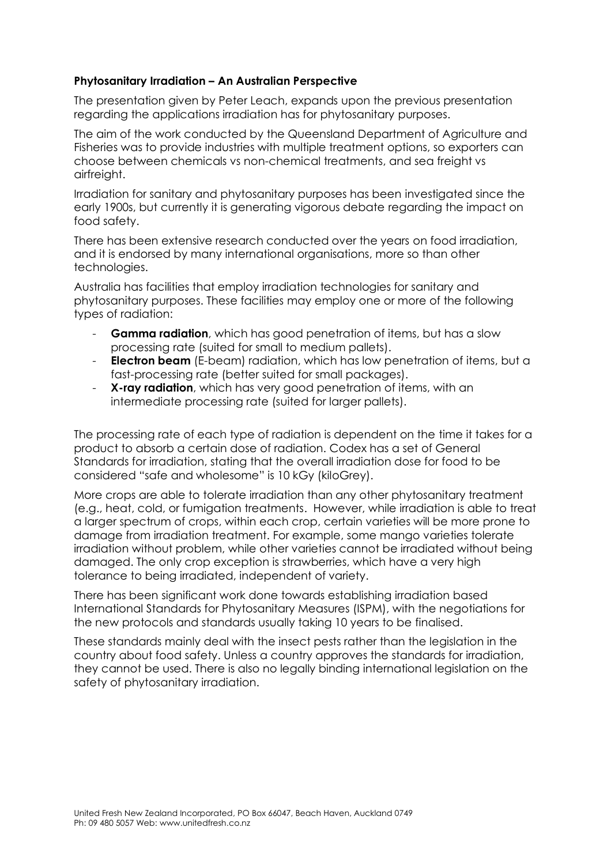### **Phytosanitary Irradiation – An Australian Perspective**

The presentation given by Peter Leach, expands upon the previous presentation regarding the applications irradiation has for phytosanitary purposes.

The aim of the work conducted by the Queensland Department of Agriculture and Fisheries was to provide industries with multiple treatment options, so exporters can choose between chemicals vs non-chemical treatments, and sea freight vs airfreight.

Irradiation for sanitary and phytosanitary purposes has been investigated since the early 1900s, but currently it is generating vigorous debate regarding the impact on food safety.

There has been extensive research conducted over the years on food irradiation, and it is endorsed by many international organisations, more so than other technologies.

Australia has facilities that employ irradiation technologies for sanitary and phytosanitary purposes. These facilities may employ one or more of the following types of radiation:

- **Gamma radiation**, which has good penetration of items, but has a slow processing rate (suited for small to medium pallets).
- **Electron beam** (E-beam) radiation, which has low penetration of items, but a fast-processing rate (better suited for small packages).
- **X-ray radiation**, which has very good penetration of items, with an intermediate processing rate (suited for larger pallets).

The processing rate of each type of radiation is dependent on the time it takes for a product to absorb a certain dose of radiation. Codex has a set of General Standards for irradiation, stating that the overall irradiation dose for food to be considered "safe and wholesome" is 10 kGy (kiloGrey).

More crops are able to tolerate irradiation than any other phytosanitary treatment (e.g., heat, cold, or fumigation treatments. However, while irradiation is able to treat a larger spectrum of crops, within each crop, certain varieties will be more prone to damage from irradiation treatment. For example, some mango varieties tolerate irradiation without problem, while other varieties cannot be irradiated without being damaged. The only crop exception is strawberries, which have a very high tolerance to being irradiated, independent of variety.

There has been significant work done towards establishing irradiation based International Standards for Phytosanitary Measures (ISPM), with the negotiations for the new protocols and standards usually taking 10 years to be finalised.

These standards mainly deal with the insect pests rather than the legislation in the country about food safety. Unless a country approves the standards for irradiation, they cannot be used. There is also no legally binding international legislation on the safety of phytosanitary irradiation.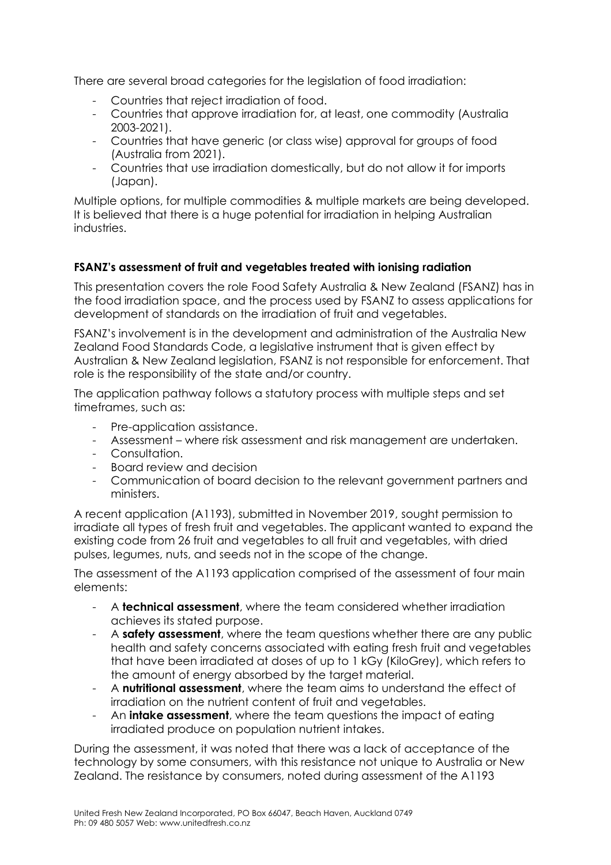There are several broad categories for the legislation of food irradiation:

- Countries that reject irradiation of food.
- Countries that approve irradiation for, at least, one commodity (Australia 2003-2021).
- Countries that have generic (or class wise) approval for groups of food (Australia from 2021).
- Countries that use irradiation domestically, but do not allow it for imports (Japan).

Multiple options, for multiple commodities & multiple markets are being developed. It is believed that there is a huge potential for irradiation in helping Australian industries.

# **FSANZ's assessment of fruit and vegetables treated with ionising radiation**

This presentation covers the role Food Safety Australia & New Zealand (FSANZ) has in the food irradiation space, and the process used by FSANZ to assess applications for development of standards on the irradiation of fruit and vegetables.

FSANZ's involvement is in the development and administration of the Australia New Zealand Food Standards Code, a legislative instrument that is given effect by Australian & New Zealand legislation, FSANZ is not responsible for enforcement. That role is the responsibility of the state and/or country.

The application pathway follows a statutory process with multiple steps and set timeframes, such as:

- Pre-application assistance.
- Assessment where risk assessment and risk management are undertaken.
- Consultation.
- Board review and decision
- Communication of board decision to the relevant government partners and ministers.

A recent application (A1193), submitted in November 2019, sought permission to irradiate all types of fresh fruit and vegetables. The applicant wanted to expand the existing code from 26 fruit and vegetables to all fruit and vegetables, with dried pulses, legumes, nuts, and seeds not in the scope of the change.

The assessment of the A1193 application comprised of the assessment of four main elements:

- A **technical assessment**, where the team considered whether irradiation achieves its stated purpose.
- A **safety assessment**, where the team questions whether there are any public health and safety concerns associated with eating fresh fruit and vegetables that have been irradiated at doses of up to 1 kGy (KiloGrey), which refers to the amount of energy absorbed by the target material.
- A **nutritional assessment**, where the team aims to understand the effect of irradiation on the nutrient content of fruit and vegetables.
- An **intake assessment**, where the team questions the impact of eating irradiated produce on population nutrient intakes.

During the assessment, it was noted that there was a lack of acceptance of the technology by some consumers, with this resistance not unique to Australia or New Zealand. The resistance by consumers, noted during assessment of the A1193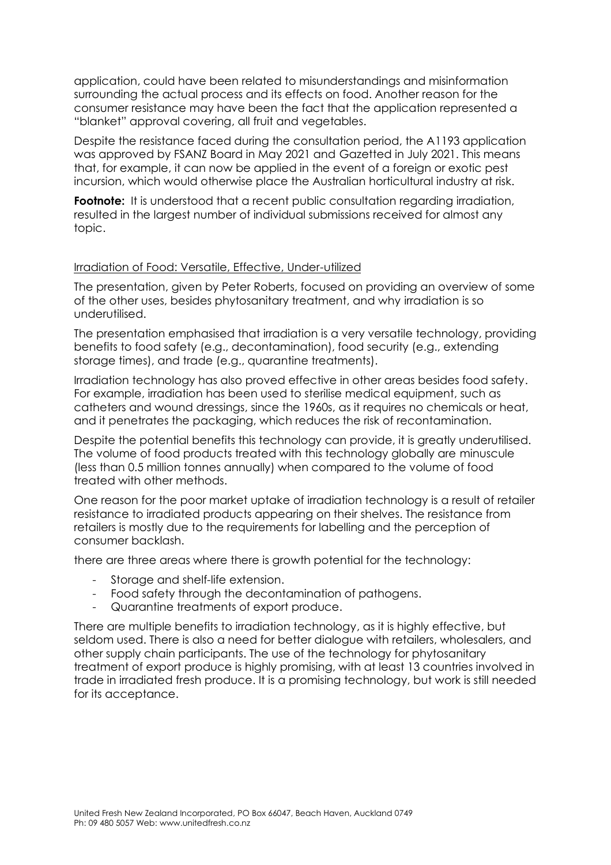application, could have been related to misunderstandings and misinformation surrounding the actual process and its effects on food. Another reason for the consumer resistance may have been the fact that the application represented a "blanket" approval covering, all fruit and vegetables.

Despite the resistance faced during the consultation period, the A1193 application was approved by FSANZ Board in May 2021 and Gazetted in July 2021. This means that, for example, it can now be applied in the event of a foreign or exotic pest incursion, which would otherwise place the Australian horticultural industry at risk.

**Footnote:** It is understood that a recent public consultation regarding irradiation, resulted in the largest number of individual submissions received for almost any topic.

#### Irradiation of Food: Versatile, Effective, Under-utilized

The presentation, given by Peter Roberts, focused on providing an overview of some of the other uses, besides phytosanitary treatment, and why irradiation is so underutilised.

The presentation emphasised that irradiation is a very versatile technology, providing benefits to food safety (e.g., decontamination), food security (e.g., extending storage times), and trade (e.g., quarantine treatments).

Irradiation technology has also proved effective in other areas besides food safety. For example, irradiation has been used to sterilise medical equipment, such as catheters and wound dressings, since the 1960s, as it requires no chemicals or heat, and it penetrates the packaging, which reduces the risk of recontamination.

Despite the potential benefits this technology can provide, it is greatly underutilised. The volume of food products treated with this technology globally are minuscule (less than 0.5 million tonnes annually) when compared to the volume of food treated with other methods.

One reason for the poor market uptake of irradiation technology is a result of retailer resistance to irradiated products appearing on their shelves. The resistance from retailers is mostly due to the requirements for labelling and the perception of consumer backlash.

there are three areas where there is growth potential for the technology:

- Storage and shelf-life extension.
- Food safety through the decontamination of pathogens.
- Quarantine treatments of export produce.

There are multiple benefits to irradiation technology, as it is highly effective, but seldom used. There is also a need for better dialogue with retailers, wholesalers, and other supply chain participants. The use of the technology for phytosanitary treatment of export produce is highly promising, with at least 13 countries involved in trade in irradiated fresh produce. It is a promising technology, but work is still needed for its acceptance.